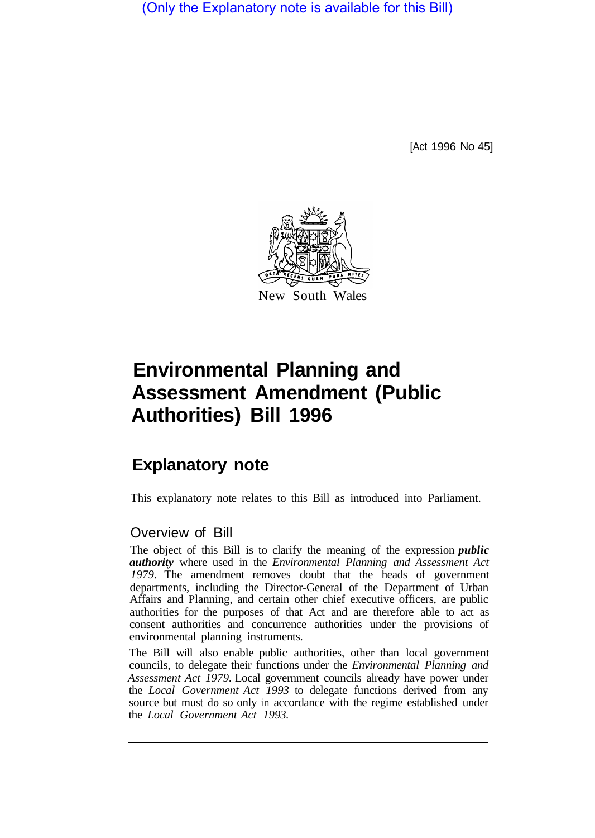(Only the Explanatory note is available for this Bill)

[Act 1996 No 45]



# **Environmental Planning and Assessment Amendment (Public Authorities) Bill 1996**

## **Explanatory note**

This explanatory note relates to this Bill as introduced into Parliament.

#### Overview of Bill

The object of this Bill is to clarify the meaning of the expression *public authority* where used in the *Environmental Planning and Assessment Act 1979.* The amendment removes doubt that the heads of government departments, including the Director-General of the Department of Urban Affairs and Planning, and certain other chief executive officers, are public authorities for the purposes of that Act and are therefore able to act as consent authorities and concurrence authorities under the provisions of environmental planning instruments.

The Bill will also enable public authorities, other than local government councils, to delegate their functions under the *Environmental Planning and Assessment Act 1979.* Local government councils already have power under the *Local Government Act 1993* to delegate functions derived from any source but must do so only in accordance with the regime established under the *Local Government Act 1993.*